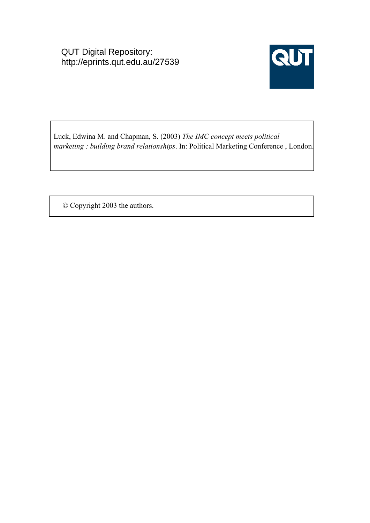QUT Digital Repository: http://eprints.qut.edu.au/27539



Luck, Edwina M. and Chapman, S. (2003) *The IMC concept meets political marketing : building brand relationships*. In: Political Marketing Conference , London.

© Copyright 2003 the authors.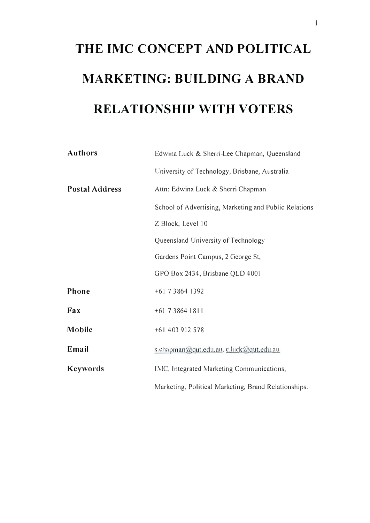# THE IMC CONCEPT AND POLITICAL MARKETING: BUILDING A BRAND RELATIONSHIP WITH VOTERS

| <b>Authors</b>        | Edwina Luck & Sherri-Lee Chapman, Queensland          |
|-----------------------|-------------------------------------------------------|
|                       | University of Technology, Brisbane, Australia         |
| <b>Postal Address</b> | Attn: Edwina Luck & Sherri Chapman                    |
|                       | School of Advertising, Marketing and Public Relations |
|                       | Z Block, Level 10                                     |
|                       | Queensland University of Technology                   |
|                       | Gardens Point Campus, 2 George St,                    |
|                       | GPO Box 2434, Brisbane QLD 4001                       |
| Phone                 | +61 7 3 8 64 1 3 9 2                                  |
| Fax                   | $+61$ 7 3 8 6 4 1 8 1 1                               |
| Mobile                | +61 403 912 578                                       |
| Email                 | s.chapman@qut.edu.au, c.luck@qut.edu.au               |
| <b>Keywords</b>       | IMC, Integrated Marketing Communications,             |
|                       | Marketing, Political Marketing, Brand Relationships.  |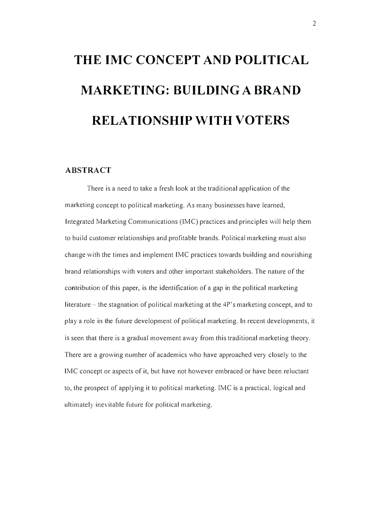# THE IMC CONCEPT AND POLITICAL MARKETING: BUILDING A BRAND RELATIONSHIP WITH VOTERS

#### ABSTRACT

There is a need to take a fresh look at the traditional application of the marketing concept to political marketing. As many businesses have learned, Integrated Marketing Communications (lMC) practices and principles will help them to build customer relationships and profitable brands. Political marketing must also change with the times and implement IMC practices towards building and nourishing brand relationships with voters and other important stakeholders. The nature of the contribution of this paper, is the identification of a gap in the political marketing literature – the stagnation of political marketing at the 4P's marketing concept, and to play a role in the future development of political marketing. In recent developments, it is seen that there is a gradual movement away from this traditional marketing theory. There are a growing number of academics who have approached very closely to the IMC concept or aspects of it, but have not however embraced or have been reluctant to, the prospect of applying it to political marketing. IMC is a practical, logical and ultimately inevitable future for political marketing.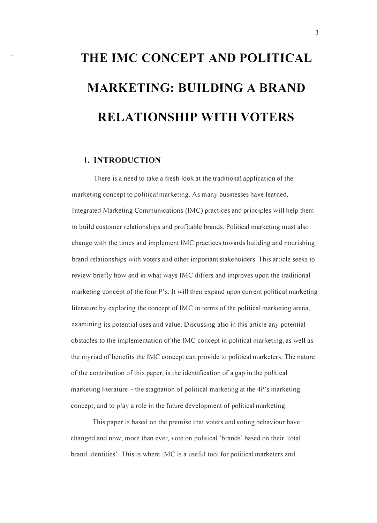# THE IMC CONCEPT AND POLITICAL MARKETING: BUILDING A BRAND RELA TIONSHIP WITH VOTERS

### 1. INTRODUCTION

There is a need to take a fresh look at the traditional application of the marketing concept to political marketing. As many businesses have learned, Integrated Marketing Communications ([MC) practices and principles will help them to build customer relationships and profitable brands. Political marketing must also change with the times and implement IMC practices towards building and nourishing brand relationships with voters and other important stakeholders. This article seeks to review briefly how and in what ways IMC differs and improves upon the traditional marketing concept of the four P's. It will then expand upon current political marketing literature by exploring the concept of [MC in terms of the political marketing arena, examining its potential uses and value. Discussing also in this article any potential obstacles to the implementation of the IMC concept in political marketing, as well as the myriad of benefits the IMC concept can provide to political marketers. The nature of the contribution of this paper, is the identification of a gap in the political marketing literature  $-$  the stagnation of political marketing at the  $4P$ 's marketing concept, and to play a role in the future development of political marketing.

This paper is based on the premise that voters and voting behaviour have changed and now, more than ever, vote on political 'brands' based on their 'total brand identities'. This is where IMC is a useful tool for political marketers and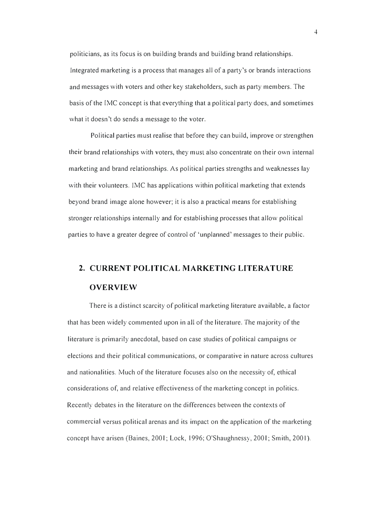politicians, as its focus is on building brands and building brand relationships. Integrated marketing is a process that manages all of a party's or brands interactions and messages with voters and other key stakeholders, such as party members. The basis of the IMC concept is that everything that a political party does, and sometimes what it doesn't do sends a message to the voter.

Political parties must realise that before they can build, improve or strengthen their brand relationships with voters, they must also concentrate on their own internal marketing and brand relationships. As political parties strengths and weaknesses lay with their volunteers. IMC has applications within political marketing that extends beyond brand image alone however; it is also a practical means for establishing stronger relationships internally and for establishing processes that allow political parties to have a greater degree of control of 'unplanned' messages to their public.

# 2. CURRENT POLITICAL MARKETING LITERATURE OVERVIEW

There is a distinct scarcity of political marketing literature available, a factor that has been widely commented upon in all of the literature. The majority of the literature is primarily anecdotal, based on case studies of political campaigns or elections and their political communications, or comparative in nature across cultures and nationalities. Much of the literature focuses also on the necessity of, ethical considerations of, and relative effectiveness of the marketing concept in politics. Recently debates in the literature on the differences between the contexts of commercial versus political arenas and its impact on the application of the marketing concept have arisen (Baines, 2001; Lock, 1996; O'Shaughnessy, 2001; Smith, 2001).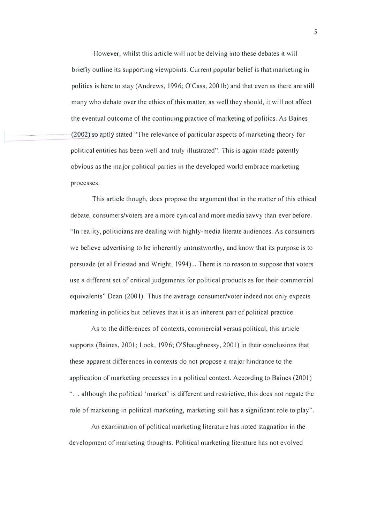However, whilst this article will not be delving into these debates it will briefly outline its supporting viewpoints. Current popular belief is that marketing in politics is here to stay (Andrews, 1996; O'Cass, 2001b) and that even as there are still many who debate over the ethics of this matter, as well they should, it will not affect the eventual outcome of the continuing practice of marketing of politics. As Baines  $(2002)$  so aptly stated "The relevance of particular aspects of marketing theory for political entities has been well and truly illustrated". This is again made patently obvious as the major political parties in the developed world embrace marketing processes.

This article though, does propose the argument that in the matter of this ethical debate, consumers/voters are a more cynical and more media savvy than ever before. "[n reality, politicians are dealing with highly-media literate audiences. As consumers we believe advertising to be inherently untrustworthy, and know that its purpose is to persuade (et al Friestad and Wright, 1994)... There is no reason to suppose that voters use a different set of critical judgements for political products as for their commercial equivalents" Dean (200 I). Thus the average consumer/voter indeed not only expects marketing in politics but believes that it is an inherent part of political practice.

As to the differences of contexts, commercial versus political, this article supports (Baines, 2001; Lock, 1996; O'Shaughnessy, 2001) in their conclusions that these apparent differences in contexts do not propose a major hindrance to the application of marketing processes in a political context. According to Baines (2001)  $\ldots$  although the political 'market' is different and restrictive, this does not negate the role of marketing in political marketing, marketing still has a significant role to play".

An examination of political marketing literature has noted stagnation in the development of marketing thoughts. Political marketing literature has not evolved

5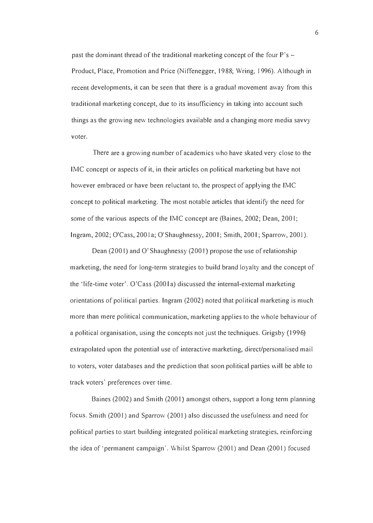past the dominant thread of the traditional marketing concept of the four  $P's -$ Product, Place, Promotion and Price (Niffenegger, 1988; Wring, 1996). Although in recent developments, it can be seen that there is a gradual movement away from this traditional marketing concept, due to its insufficiency in taking into account such things as the growing new technologies available and a changing more media savvy voter.

There are a growing number of academics who have skated very close to the IMC concept or aspects of it, in their articles on political marketing but have not however embraced or have been reluctant to, the prospect of applying the IMC concept to political marketing. The most notable articles that identify the need for some of the various aspects of the IMC concept are (Baines, 2002; Dean, 2001; Ingram, 2002; O'Cass, 200 I a; O'Shaughnessy, 200 I; Smith, 200 I; Sparrow, 200 I ).

Dean (2001) and O'Shaughnessy (2001) propose the use of relationship marketing, the need for long-term strategies to build brand loyalty and the concept of the ' life-time voter'. O'Cass (200 I a) discussed the internal-external marketing orientations of political parties. Ingram (2002) noted that political marketing is much more than mere political communication, marketing applies to the whole behaviour of a political organisation, using the concepts not just the techniques. Grigsby (1996) extrapolated upon the potential use of interactive marketing, direct/personalised mail to voters, voter databases and the prediction that soon political parties will be able to track voters' preferences over time.

Baines (2002) and Smith (2001) amongst others, support a long term planning focus. Smith (2001) and Sparrow (2001) also discussed the usefulness and need for political parties to start building integrated political marketing strategies, reinforcing the idea of 'permanent campaign'. Whilst Sparrow (2001) and Dean (2001) focused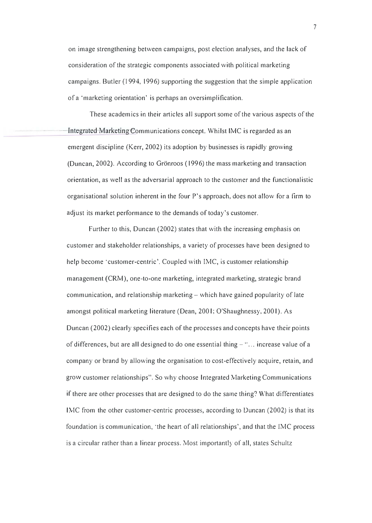on image strengthening between campaigns, post election analyses, and the lack of consideration of the strategic components associated with political marketing campaigns. Butler (1994, 1996) supporting the suggestion that the simple application of a 'marketing orientation' is perhaps an oversimplification.

These academics in their articles all support some of the various aspects of the Integrated-Marketing Communications concept. Whilst IMC is regarded as an emergent discipline (Kerr, 2002) its adoption by businesses is rapidly growing (Duncan, 2002). According to Grönroos (1996) the mass marketing and transaction orientation, as well as the adversarial approach to the customer and the functionalistic organisational solution inherent in the four P's approach, does not allow for a finn to adjust its market performance to the demands of today's customer.

Further to this, Duncan (2002) states that with the increasing emphasis on customer and stakeholder relationships, a variety of processes have been designed to help become 'customer-centric'. Coupled with IMC, is customer relationship management (CRM), one-to-one marketing, integrated marketing, strategic brand communication, and relationship marketing – which have gained popularity of late amongst political marketing literature ( Dean, 200 I; O'Shaughnessy, 200 I). As Duncan (2002) clearly specifies each of the processes and concepts have their points of differences, but are all designed to do one essential thing - "... increase value of a company or brand by allowing the organisation to cost-effectively acquire, retain, and grow customer relationships". So why choose Integrated Marketing Communications if there are other processes that are designed to do the same thing? What differentiates IMC from the other customer-centric processes, according to Duncan (2002) is that its foundation is communication, 'the heart of all relationships', and that the IMC process is a circular rather than a linear process. Most importantly of all, states Schultz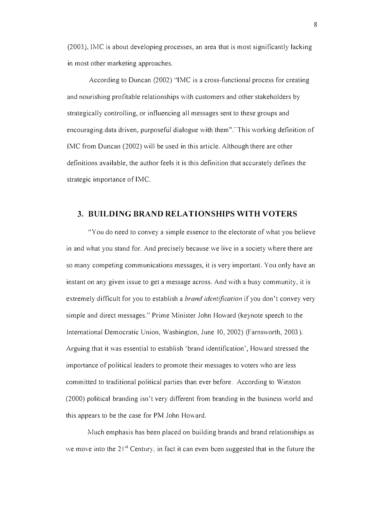(2003), IMC is about developing processes, an area that is most significantly lacking in most other marketing approaches.

According to Duncan (2002) "IMC is a cross-functional process for creating and nourishing profitable relationships with customers and other stakeholders by strategically controlling, or influencing all messages sent to these groups and encouraging data driven, purposeful dialogue with them". This working definition of IMC from Duncan (2002) will be used in this article. Although there are other definitions available, the author feels it is this definition that accurately defines the strategic importance of IMC.

### 3. BUILDING BRAND RELATIONSHIPS WITH VOTERS

"You do need to convey a simple essence to the electorate of what you believe in and what you stand for. And precisely because we live in a society where there are so many competing communications messages, it is very important. You only have an instant on any given issue to get a message across. And with a busy community, it is extremely difficult for you to establish a *brand identification* if you don't convey very simple and direct messages." Prime Minister John Howard (keynote speech to the International Democratic Union, Washington, June 10,2002) (Farnsworth, 2003). Arguing that it was essential to establish 'brand identification', Howard stressed the importance of political leaders to promote their messages to voters who are less committed to traditional political parties than ever before. According to Winston (2000) political branding isn't very different from branding in the business world and this appears to be the case for PM John Howard.

Much emphasis has been placed on building brands and brand relationships as we move into the 21<sup>st</sup> Century, in fact it can even been suggested that in the future the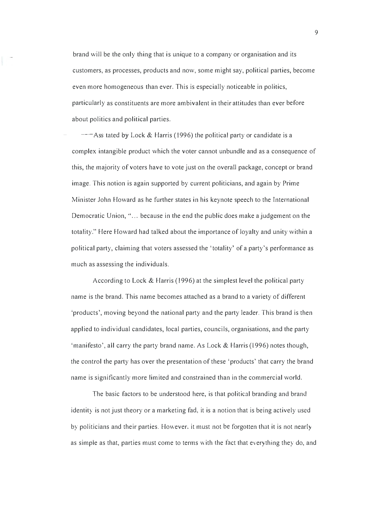brand will be the only thing that is unique to a company or organisation and its customers, as processes, products and now, some might say, political parties, become even more homogeneous than ever. This is especially noticeable in politics, particularly as constituents are more ambivalent in their attitudes than ever before about politics and political parties.

 $-$ Ass tated by Lock & Harris (1996) the political party or candidate is a complex intangible product which the voter cannot unbundle and as a consequence of this, the majority of voters have to vote just on the overall package, concept or brand image. This notion is again supported by current politicians, and again by Prime Minister John Howard as he further states in his keynote speech to the International Democratic Union, "... because in the end the public does make a judgement on the totality." Here Howard had talked about the importance of loyalty and unity within a political party, claiming that voters assessed the ' totality' of a party's performance as much as assessing the individuals.

According to Lock & Harris (1996) at the simplest level the political party name is the brand. This name becomes attached as a brand to a variety of different 'products', moving beyond the national party and the party leader. This brand is then applied to individual candidates, local parties, councils, organisations, and the party 'manifesto', all carry the party brand name. As Lock & Harris (1996) notes though, the control the party has over the presentation of these' products' that carry the brand name is significantly more limited and constrained than in the commercial world.

The basic factors to be understood here, is that political branding and brand identity is not just theory or a marketing fad, it is a notion that is being actively used by politicians and their parties. However, it must not be forgotten that it is not nearly as simple as that, parties must come to terms with the fact that everything they do, and

9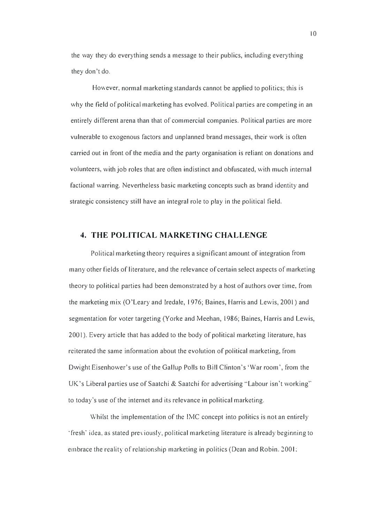the way they do everything sends a message to their publics, including everything they don't do,

However, normal marketing standards cannot be applied to politics; this is why the field of political marketing has evolved, Political parties are competing in an entirely different arena than that of commercial companies, Political parties are more vulnerable to exogenous factors and unplanned brand messages, their work is often carried out in front of the media and the party organisation is reliant on donations and volunteers, with job roles that are often indistinct and obfuscated, with much internal factional warring, Nevertheless basic marketing concepts such as brand identity and strategic consistency still have an integral role to play in the political field,

## 4. THE POLlTlCAL MARKETlNG CHALLENGE

Political marketing theory requires a significant amount of integration from many other fields of literature, and the relevance of certain select aspects of marketing theory to political parties had been demonstrated by a host of authors over time, from the marketing mix (O'Leary and lredale, 1 976; Baines, Harris and Lewis, 2001) and segmentation for voter targeting (Yorke and Meehan, 1986; Baines, Harris and Lewis, 2001). Every article that has added to the body of political marketing literature, has reiterated the same information about the evolution of political marketing, from Dwight Eisenhower's use of the Gallup Polls to Bill Clinton's 'War room', from the UK's Liberal parties use of Saatchi & Saatchi for advertising "Labour isn't working" to today's use of the internet and its relevance in political marketing.

Whilst the implementation of the IMC concept into politics is not an entirely 'fresh' idea, as stated previously, political marketing literature is already beginning to embrace the reality of relationship marketing in politics (Dean and Robin. 2001;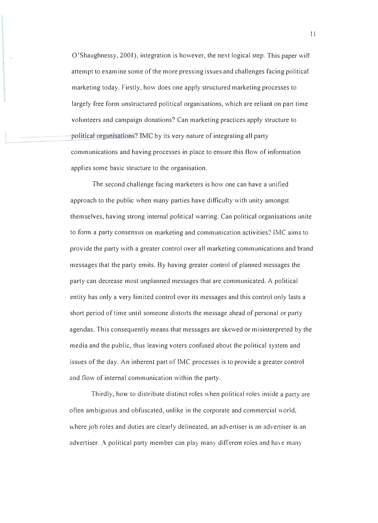$O'$ Shaughnessy, 2001), integration is however, the next logical step. This paper will attempt to examine some of the more pressing issues and challenges facing political marketing today. Firstly, how does one apply structured marketing processes to largely free form unstructured political organisations, which are reliant on part time volunteers and campaign donations? Can marketing practices apply structure to political organisations? IMC by its very nature of integrating all party communications and having processes in place to ensure this flow of information applies some basic structure to the organisation.

The second challenge facing marketers is how one can have a unified approach to the public when many parties have difficulty with unity amongst themselves, having strong internal political warring. Can political organisations unite to form a party consensus on marketing and communication activities? IMC aims to provide the party with a greater control over all marketing communications and brand messages that the party emits. By having greater control of planned messages the party can decrease most unplanned messages that are communicated. A political entity has only a very limited control over its messages and this control only lasts a short period of time until someone distorts the message ahead of personal or party agendas. This consequently means that messages are skewed or misinterpreted by the media and the public, thus leaving voters confused about the political system and issues of the day. An inherent part of IMC processes is to provide a greater control and flow of internal communication within the party.

Thirdly, how to distribute distinct roles when political roles inside a party are often ambiguous and obfuscated, unlike in the corporate and commercial world, where job roles and duties are clearly delineated, an advertiser is an advertiser is an advertiser. A political party member can play many different roles and have many

II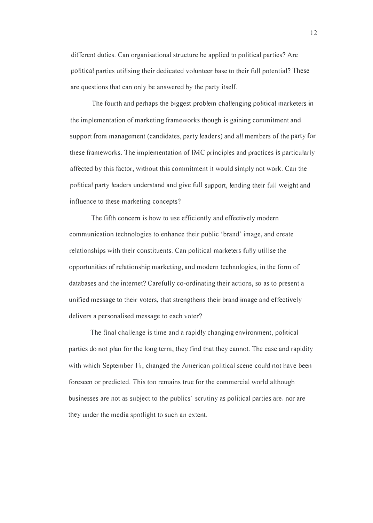different duties. Can organisational structure be applied to political parties? Are political parties utilising their dedicated volunteer base to their full potential? These are questions that can only be answered by the party itself.

The fourth and perhaps the biggest problem challenging political marketers in the implementation of marketing frameworks though is gaining commitment and support from management (candidates, party leaders) and all members of the party for these frameworks. The implementation of [MC principles and practices is particularly affected by this factor, without this commitment it would simply not work. Can the political party leaders understand and give full support, lending their full weight and influence to these marketing concepts?

The fifth concern is how to use efficiently and effectively modern communication technologies to enhance their public 'brand' image, and create relationships with their constituents. Can political marketers fully utilise the opportunities of relationship marketing, and modern technologies, in the form of databases and the internet? Carefully co-ordinating their actions, so as to present a unified message to their voters, that strengthens their brand image and effectively delivers a personalised message to each voter?

The final challenge is time and a rapidly changing environment, political parties do not plan for the long term, they find that they cannot. The ease and rapidity with which September 11, changed the American political scene could not have been foreseen or predicted. This too remains true for the commercial world although businesses are not as subject to the publics' scrutiny as political parties are, nor are they under the media spotlight to such an extent.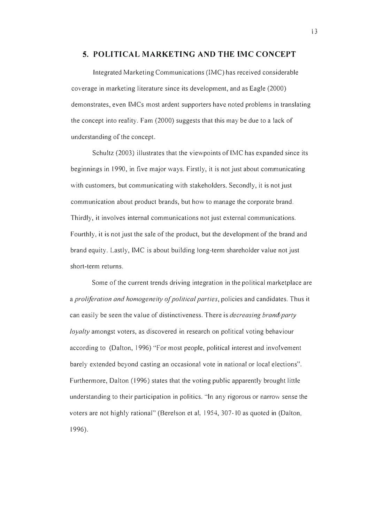#### 5. POLITICAL MARKETING AND THE [MC CONCEPT

Integrated Marketing Communications (lMC) has received considerable coverage in marketing literature since its development, and as Eagle (2000) demonstrates, even [MCs most ardent supporters have noted problems in translating the concept into reality. Fam (2000) suggests that this may be due to a lack of understanding of the concept.

Schultz (2003) illustrates that the viewpoints of [MC has expanded since its beginnings in 1990, in five major ways. Firstly, it is not just about communicating with customers, but communicating with stakeholders. Secondly, it is not just communication about product brands, but how to manage the corporate brand. Thirdly, it involves internal communications not just external communications. Fourthly, it is not just the sale of the product, but the development of the brand and brand equity. Lastly, [MC is about building long-term shareholder value not just short-term returns.

Some of the current trends driving integration in the political marketplace are a proliferation and homogeneity of political parties, policies and candidates. Thus it can easily be seen the value of distinctiveness. There is *decreasing brand/party* loyalty amongst voters, as discovered in research on political voting behaviour according to (Dalton, 1996) "For most people, political interest and involvement barely extended beyond casting an occasional vote in national or local elections". Furthermore, Dalton (1996) states that the voting public apparently brought little understanding to their participation in politics. "In any rigorous or narrow sense the voters are not highly rational" (Berelson et al, 1954, 307-10 as quoted in (Dalton, 1996).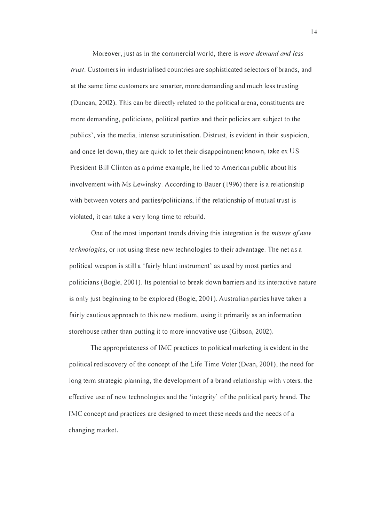Moreover, just as in the commercial world, there is more demand and less trust. Customers in industrialised countries are sophisticated selectors of brands, ancl at the same time customers are smarter, more demanding and much less trusting (Duncan, 2002). This can be directly related to the political arena, constituents are more demanding, politicians, political parties and their policies are subject to the publics', via the media, intense scrutinisation. Distrust, is evident in their suspicion, and once let down, they are quick to let their disappointment known, take ex US President Bill Clinton as a prime example, he lied to American public about his involvement with Ms Lewinsky. According to Bauer (1996) there is a relationship with between voters and parties/politicians, if the relationship of mutual trust is violated, it can take a very long time to rebuild.

One of the most important trends driving this integration is the *misuse of new technologies*, or not using these new technologies to their advantage. The net as a political weapon is still a 'fairly blunt instrument' as used by most parties and politicians (Bogle, 2001). Its potential to break down barriers and its interactive nature is only just beginning to be explored (Bogle, 200 I). Australian parties have taken a fairly cautious approach to this new medium, using it primarily as an information storehouse rather than putting it to more innovative use (Gibson, 2002).

The appropriateness of IMC practices to political marketing is evident in the political rediscovery of the concept of the Life Time Voter (Dean, 2001), the need for long term strategic planning, the development of a brand relationship with voters, the effective use of new technologies and the 'integrity' of the political party brand. The IMC concept and practices are designed to meet these needs and the needs of a changing market.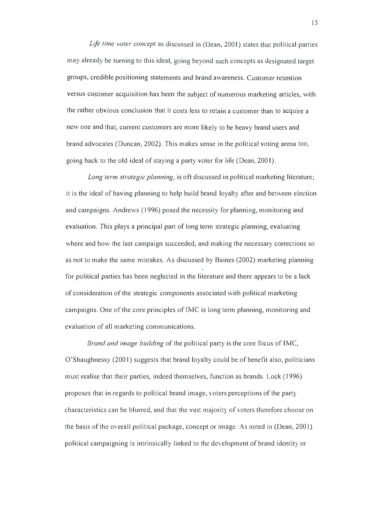Life time voter concept as discussed in (Dean, 2001) states that political parties may already be turning to this ideal, going beyond such concepts as designated target groups, credible positioning statements and brand awareness. Customer retention versus customer acquisition has been the subject of numerous marketing articles, with the rather obvious conclusion that it costs less to retain a customer than to acquire a new one and-that, current customers are more likely to be heavy brand users and brand advocates (Duncan, 2002). This makes sense in the political voting arena too, going back to the old ideal of staying a party voter for life (Dean, 200 I).

Long term strategic planning, is oft discussed in political marketing literature; it is the ideal of having planning to help build brand loyalty after and between election and campaigns. Andrews (1996) posed the necessity for planning, monitoring and evaluation. This plays a principal part of long term strategic planning, evaluating where and how the last campaign succeeded, and making the necessary corrections so as not to make the same mistakes. As discussed by Baines (2002) marketing planning for political parties has been neglected in the literature and there appears to be a lack of consideration of the strategic components associated with political marketing campaigns. One of the core principles of IMC is long term planning, monitoring and evaluation of all marketing communications.

Brand and image building of the political party is the core focus of IMC, O'Shaughnessy (2001) suggests that brand loyalty could be of benefit also, politicians must realise that their parties, indeed themselves, function as brands. Lock (1996) proposes that in regards to political brand image, voters perceptions of the party characteristics can be blurred, and that the vast majority of voters therefore choose on the basis of the overall political package, concept or image. As noted in (Dean, 2001) political campaigning is intrinsically linked to the development of brand identity or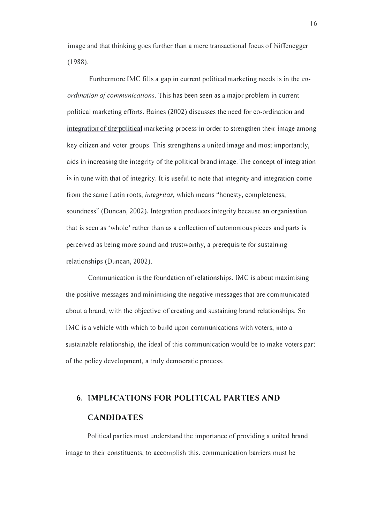image and that thinking goes further than a mere transactional focus of Niffenegger ( 1988).

Furthermore [MC fills a gap in current political marketing needs is in the coordination of communications. This has been seen as a major problem in current political marketing efforts. Baines (2002) discusses the need for co-ordination and integration of the political marketing process in order to strengthen their image among key citizen and voter groups. This strengthens a united image and most importantly, aids in increasing the integrity of the political brand image. The concept of integration is in tune with that of integrity. It is useful to note that integrity and integration come from the same Latin roots, integritas, which means "honesty, completeness, soundness" (Duncan, 2002). Integration produces integrity because an organisation that is seen as 'whole' rather than as a collection of autonomous pieces and parts is perceived as being more sound and trustworthy, a prerequisite for sustaining relationships (Duncan, 2002).

Communication is the foundation of relationships. [MC is about maximising the positive messages and minimising the negative messages that are communicated about a brand, with the objective of creating and sustaining brand relationships. So [MC is a vehicle with which to build upon communications with voters, into a sustainable relationship, the ideal of this communication would be to make voters part of the policy development, a truly democratic process.

# 6. IMPLICATIONS FOR POLITICAL PARTIES AND **CANDIDATES**

Political parties must understand the importance of providing a united brand image to their constituents, to accomplish this, communication barriers must be

16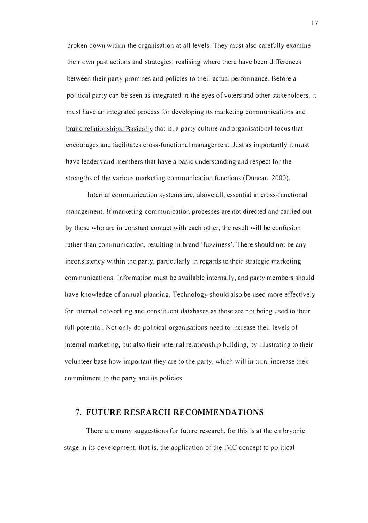broken down within the organisation at all levels. They must also carefully examine their own past actions and strategies, realising where there have been differences between their party promises and policies to their actual performance. Before a political party can be seen as integrated in the eyes of voters and other stakeholders, it must have an integrated process for developing its marketing communications and  $b$ rand relationships. Basically that is, a party culture and organisational focus that encourages and facilitates cross-functional management. Just as importantly it must have leaders and members that have a basic understanding and respect for the strengths of the various marketing communication functions (Duncan, 2000).

Internal communication systems are, above all, essential in cross-functional management. If marketing communication processes are not directed and carried out by those who are in constant contact with each other, the result will be confusion rather than communication, resulting in brand' fuzziness'. There should not be any inconsistency within the party, particularly in regards to their strategic marketing communications. Information must be available internally, and party members should have knowledge of annual planning. Technology should also be used more effectively for internal networking and constituent databases as these are not being used to their full potential. Not only do political organisations need to increase their levels of internal marketing, but also their internal relationship building, by illustrating to their volunteer base how important they are to the party, which will in turn, increase their commitment to the party and its policies.

#### 7. FUTURE RESEARCH RECOMMENDATIONS

There are many suggestions for future research, for this is at the embryonic stage in its development, that is, the application of the IMC concept to political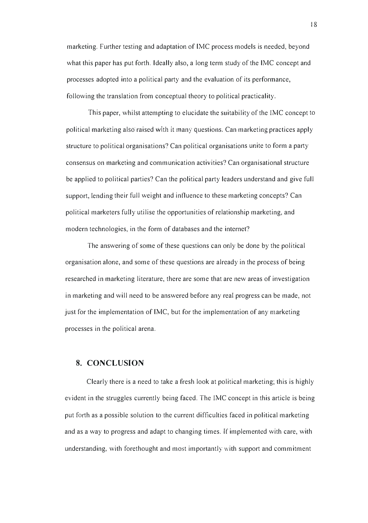marketing. Further testing and adaptation of [MC process models is needed, beyond what this paper has put forth. Ideally also, a long term study of the IMC concept and processes adopted into a political party and the evaluation of its performance, following the translation from conceptual theory to political practicality.

This paper, whilst attempting to elucidate the suitability of the IMC concept to political marketing also raised with it many questions. Can marketing practices apply structure to political organisations? Can political organisations unite to form a party consensus on marketing and communication activities? Can organisational structure be applied to political parties? Can the political party leaders understand and give full support, lending their full weight and influence to these marketing concepts? Can political marketers fully utilise the opportunities of relationship marketing, and modern technologies, in the form of databases and the internet?

The answering of some of these questions can only be done by the political organisation alone, and some of these questions are already in the process of being researched in marketing literature, there are some that are new areas of investigation in marketing and will need to be answered before any real progress can be made, not just for the implementation of [MC, but for the implementation of any marketing processes in the political arena.

## 8. CONCLUSION

Clearly there is a need to take a fresh look at political marketing; this is highly evident in the struggles currently being faced. The IMC concept in this article is being put forth as a possible solution to the current difficulties faced in political marketing and as a way to progress and adapt to changing times. [f implemented with care, with understanding, with forethought and most importantly with support and commitment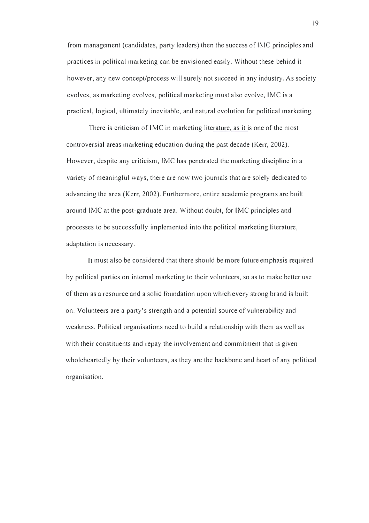from management (candidates, party leaders) then the success of IMC principles and practices in political marketing can be envisioned easily. Without these behind it however, any new concept/process will surely not succeed in any industry. As society evolves, as marketing evolves, political marketing must also evolve, IMC is a practical, logical, ultimately inevitable, and natural evolution for political marketing.

There is criticism of IMC in marketing literature, as it is one of the most controversial areas marketing education during the past decade (Kerr, 2002). However, despite any criticism, IMC has penetrated the marketing discipline in a variety of meaningful ways, there are now two journals that are solely dedicated to advancing the area (Kerr, 2002). Furthermore, entire academic programs are built around IMC at the post-graduate area. Without doubt, for IMC principles and processes to be successfully implemented into the political marketing literature, adaptation is necessary.

It must also be considered that there should be more future emphasis required by political parties on internal marketing to their volunteers, so as to make better use of them as a resource and a solid foundation upon which every strong brand is built on. Volunteers are a party's strength and a potential source of vulnerability and weakness. Political organisations need to build a relationship with them as well as with their constituents and repay the involvement and commitment that is given wholeheartedly by their volunteers, as they are the backbone and heart of any political organisation.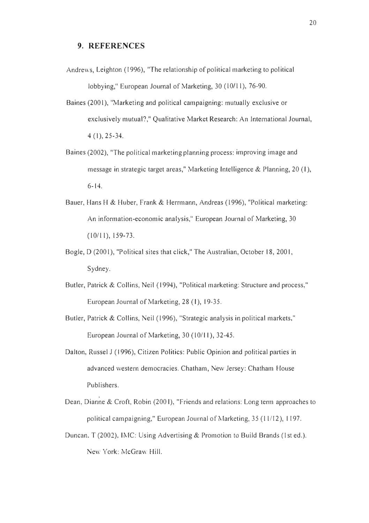## 9. REFERENCES

- Andrews, Leighton (1996), "The relationship of political marketing to political lobbying," European Journal of Marketing, 30 (10/11), 76-90.
- Baines (2001), "Marketing and political campaigning: mutually exclusive or exclusively mutual?," Qualitative Market Research: An International Journal, 4 (I), 25-34.
- Baines (2002), "The political marketing planning process: improving image and message in strategic target areas," Marketing Intelligence & Planning, 20 ( I), 6-14.
- Bauer, Hans H & Huber, Frank & Herrmann, Andreas (1996), " Political marketing: An information-economic analysis," European Journal of Marketing, 30  $(10/11), 159-73.$
- Bogle, D (2001), "Political sites that click," The Australian, October 18, 2001, Sydney.
- Butler, Patrick & Collins, Neil (1994), " Political marketing: Structure and process," European Journal of Marketing, 28 ( I), 19-35.
- Butler, Patrick & Collins, Neil (1996), "Strategic analysis in political markets," European Journal of Marketing, 30 (10/11), 32-45.
- Dalton, Russel J (1996), Citizen Politics: Public Opinion and political parties in advanced western democracies. Chatham, New Jersey: Chatham House Publishers.
- Dean, Dianne & Croft, Robin (200 I), "Friends and relations: Long term approaches to political campaigning," European Journal of Marketing, 35 (11/12), 1197.
- Duncan, T (2002), IMC: Using Advertising & Promotion to Build Brands (1st ed.). New York: McGraw Hill.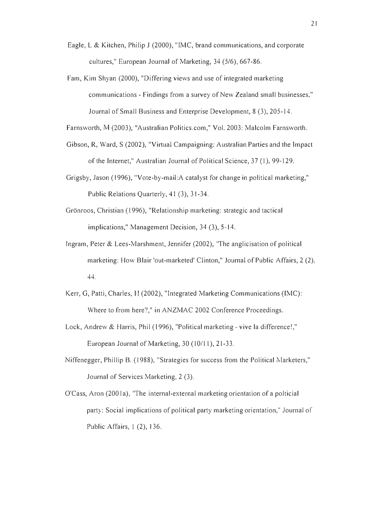- Eagle, L & Kitchen, Philip J (2000), " IMC, brand communications, and corporate cultures," European Journal of Marketing, 34 (5/6), 667-86.
- Fam, Kim Shyan (2000), "Differing views and use of integrated marketing communications - Findings from a survey of New Zealand small businesses," Journal of Small Business and Enterprise Development, 8 (3), 205-14.

Farnsworth; M-(2003); "Australian Politics.com," Vol. 2003: Malcolm Farnsworth.

- Gibson, R, Ward, S (2002), "Virtual Campaigning: Australian Parties and the Impact of the Internet," Australian Journal of Political Science, 37 (I), 99-I 29.
- Grigsby, Jason (1996), "Vote-by-mail: A catalyst for change in political marketing," Public Relations Quarterly, 41 (3), 31-34.
- Grönroos, Christian (1996), "Relationship marketing: strategic and tactical implications," Management Decision, 34 (3), 5-14.
- Ingram, Peter & Lees-Marshment, Jennifer (2002), "The anglicisation of political marketing: How Blair 'out-marketed' Clinton," Journal of Public Affairs, 2 (2), 44.
- Kerr, G, Patti, Charies, H (2002), " Integrated Marketing Communications (IMC): Where to from here?," in ANZMAC 2002 Conference Proceedings.
- Lock, Andrew & Harris, Phil (1996), "Political marketing vive la difference!," European Journal of Marketing, 30 (10/11), 21-33.
- Niffenegger, Phillip B. (1988), "Strategies for success from the Political Marketers," Journal of Services Marketing, 2 (3).
- O'Cass, Aron (2001a), "The internal-external marketing orientation of a polticial party: Social implications of political party marketing orientation," Journal of Public Affairs, I (2), 136.